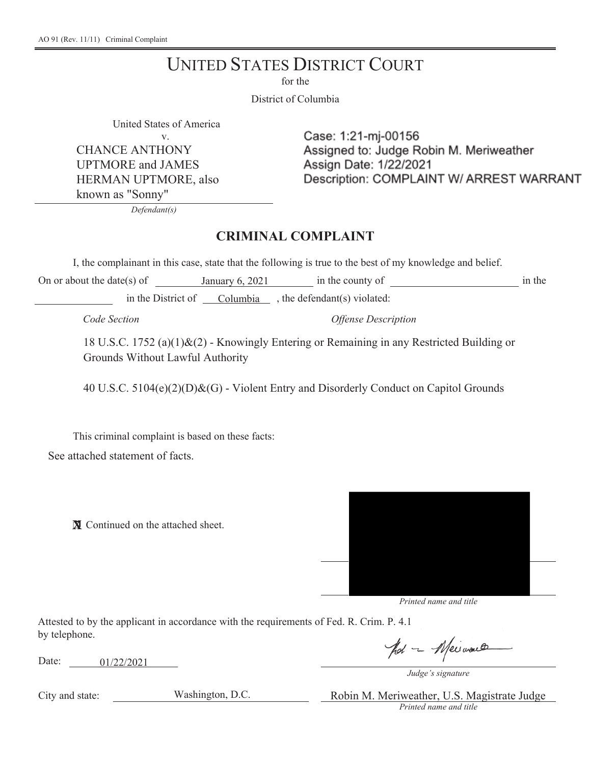## **UNITED STATES DISTRICT COURT**

for the

District of Columbia

United States of America

 $\mathbf{v}$ CHANCE ANTHONY UPTMORE and JAMES HERMAN UPTMORE, also known as "Sonny"

Case: 1:21-mj-00156 Assigned to: Judge Robin M. Meriweather Assign Date: 1/22/2021 Description: COMPLAINT W/ ARREST WARRANT

*Defendant(s)* 

## **CRIMINAL COMPLAINT**

I, the complainant in this case, state that the following is true to the best of my knowledge and belief.

On or about the date(s) of January  $6, 2021$  in the county of in the in the District of Columbia , the defendant(s) violated:

*Code Section Offense Description* 

18 U.S.C. 1752 (a)(1)&(2) - Knowingly Entering or Remaining in any Restricted Building or Grounds Without Lawful Authority

40 U.S.C. 5104(e)(2)(D)&(G) - Violent Entry and Disorderly Conduct on Capitol Grounds

This criminal complaint is based on these facts: See attached statement of facts.

**N** Continued on the attached sheet.



*Printed name and title* 

Attested to by the applicant in accordance with the requirements of Fed. R. Crim. P. 4.1 by telephone.

Date:  $01/22/2021$ 

pol - Meinaco

*Judge's signature* 

City and state: Washington, D.C. Robin M. Meriweather, U.S. Magistrate Judge *Printed name and title*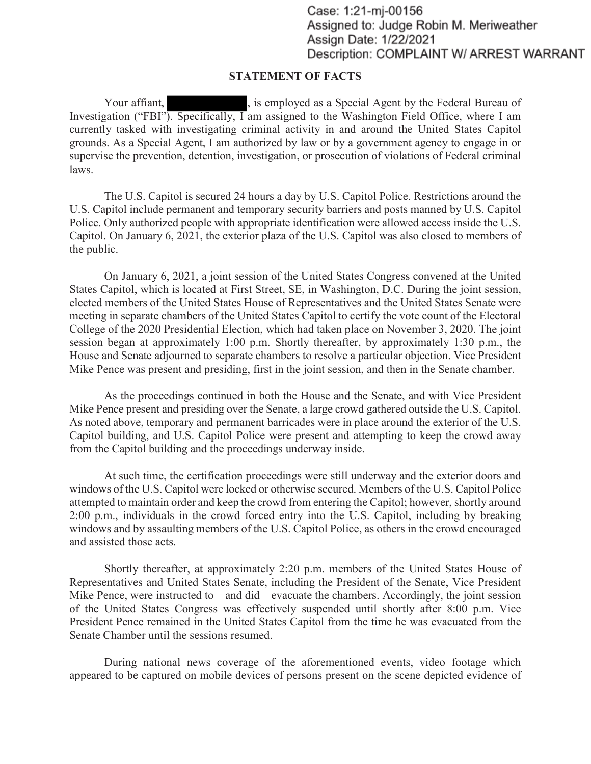Case: 1:21-mj-00156 Assigned to: Judge Robin M. Meriweather Assign Date: 1/22/2021 Description: COMPLAINT W/ ARREST WARRANT

## **STATEMENT OF FACTS**

 Investigation ("FBI"). Specifically, I am assigned to the Washington Field Office, where I am grounds. As a Special Agent, I am authorized by law or by a government agency to engage in or Your affiant, Samployed as a Special Agent by the Federal Bureau of currently tasked with investigating criminal activity in and around the United States Capitol supervise the prevention, detention, investigation, or prosecution of violations of Federal criminal laws.

The U.S. Capitol is secured 24 hours a day by U.S. Capitol Police. Restrictions around the U.S. Capitol include permanent and temporary security barriers and posts manned by U.S. Capitol Police. Only authorized people with appropriate identification were allowed access inside the U.S. Capitol. On January 6, 2021, the exterior plaza of the U.S. Capitol was also closed to members of the public.

On January 6, 2021, a joint session of the United States Congress convened at the United States Capitol, which is located at First Street, SE, in Washington, D.C. During the joint session, elected members of the United States House of Representatives and the United States Senate were meeting in separate chambers of the United States Capitol to certify the vote count of the Electoral College of the 2020 Presidential Election, which had taken place on November 3, 2020. The joint session began at approximately 1:00 p.m. Shortly thereafter, by approximately 1:30 p.m., the House and Senate adjourned to separate chambers to resolve a particular objection. Vice President Mike Pence was present and presiding, first in the joint session, and then in the Senate chamber.

 Mike Pence present and presiding over the Senate, a large crowd gathered outside the U.S. Capitol. As the proceedings continued in both the House and the Senate, and with Vice President As noted above, temporary and permanent barricades were in place around the exterior of the U.S. Capitol building, and U.S. Capitol Police were present and attempting to keep the crowd away from the Capitol building and the proceedings underway inside.

 attempted to maintain order and keep the crowd from entering the Capitol; however, shortly around At such time, the certification proceedings were still underway and the exterior doors and windows of the U.S. Capitol were locked or otherwise secured. Members of the U.S. Capitol Police 2:00 p.m., individuals in the crowd forced entry into the U.S. Capitol, including by breaking windows and by assaulting members of the U.S. Capitol Police, as others in the crowd encouraged and assisted those acts.

Shortly thereafter, at approximately 2:20 p.m. members of the United States House of Representatives and United States Senate, including the President of the Senate, Vice President Mike Pence, were instructed to—and did—evacuate the chambers. Accordingly, the joint session of the United States Congress was effectively suspended until shortly after 8:00 p.m. Vice President Pence remained in the United States Capitol from the time he was evacuated from the Senate Chamber until the sessions resumed.

During national news coverage of the aforementioned events, video footage which appeared to be captured on mobile devices of persons present on the scene depicted evidence of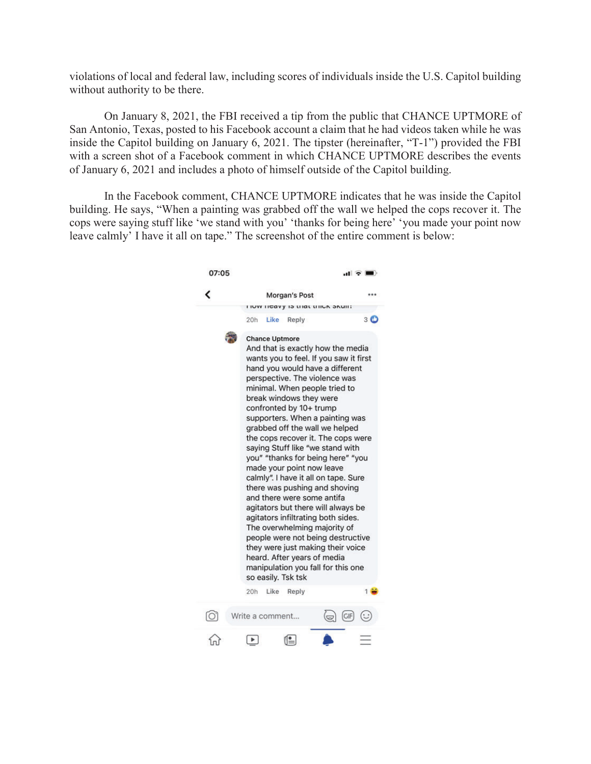violations of local and federal law, including scores of individuals inside the U.S. Capitol building without authority to be there.

On January 8, 2021, the FBI received a tip from the public that CHANCE UPTMORE of San Antonio, Texas, posted to his Facebook account a claim that he had videos taken while he was inside the Capitol building on January 6, 2021. The tipster (hereinafter, "T-1") provided the FBI with a screen shot of a Facebook comment in which CHANCE UPTMORE describes the events of January 6, 2021 and includes a photo of himself outside of the Capitol building.

In the Facebook comment, CHANCE UPTMORE indicates that he was inside the Capitol building. He says, "When a painting was grabbed off the wall we helped the cops recover it. The cops were saying stuff like 'we stand with you' 'thanks for being here' 'you made your point now leave calmly' I have it all on tape." The screenshot of the entire comment is below:

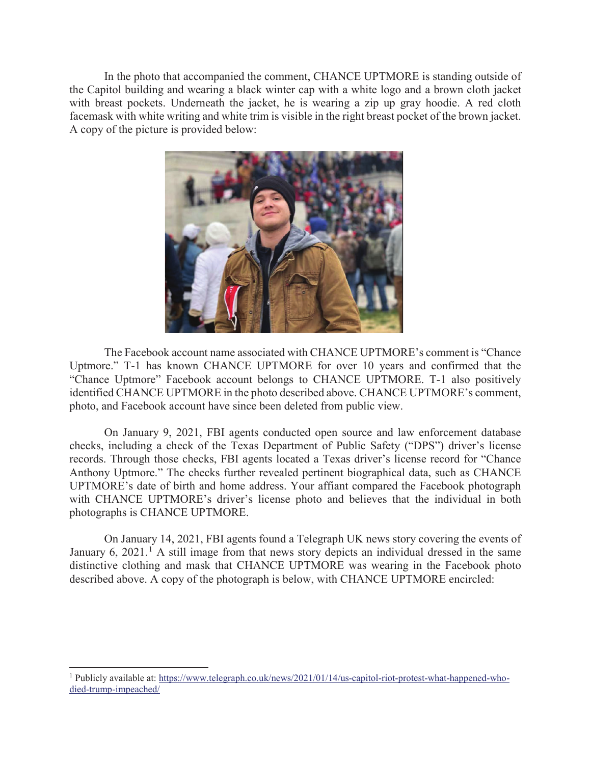In the photo that accompanied the comment, CHANCE UPTMORE is standing outside of the Capitol building and wearing a black winter cap with a white logo and a brown cloth jacket with breast pockets. Underneath the jacket, he is wearing a zip up gray hoodie. A red cloth facemask with white writing and white trim is visible in the right breast pocket of the brown jacket. A copy of the picture is provided below:



The Facebook account name associated with CHANCE UPTMORE's comment is "Chance Uptmore." T-1 has known CHANCE UPTMORE for over 10 years and confirmed that the "Chance Uptmore" Facebook account belongs to CHANCE UPTMORE. T-1 also positively identified CHANCE UPTMORE in the photo described above. CHANCE UPTMORE's comment, photo, and Facebook account have since been deleted from public view.

On January 9, 2021, FBI agents conducted open source and law enforcement database checks, including a check of the Texas Department of Public Safety ("DPS") driver's license records. Through those checks, FBI agents located a Texas driver's license record for "Chance Anthony Uptmore." The checks further revealed pertinent biographical data, such as CHANCE UPTMORE's date of birth and home address. Your affiant compared the Facebook photograph with CHANCE UPTMORE's driver's license photo and believes that the individual in both photographs is CHANCE UPTMORE.

On January 14, 2021, FBI agents found a Telegraph UK news story covering the events of January 6, 2021.<sup>1</sup> A still image from that news story depicts an individual dressed in the same distinctive clothing and mask that CHANCE UPTMORE was wearing in the Facebook photo described above. A copy of the photograph is below, with CHANCE UPTMORE encircled:

<sup>1</sup> Publicly available at: <https://www.telegraph.co.uk/news/2021/01/14/us-capitol-riot-protest-what-happened-who>died-trump-impeached/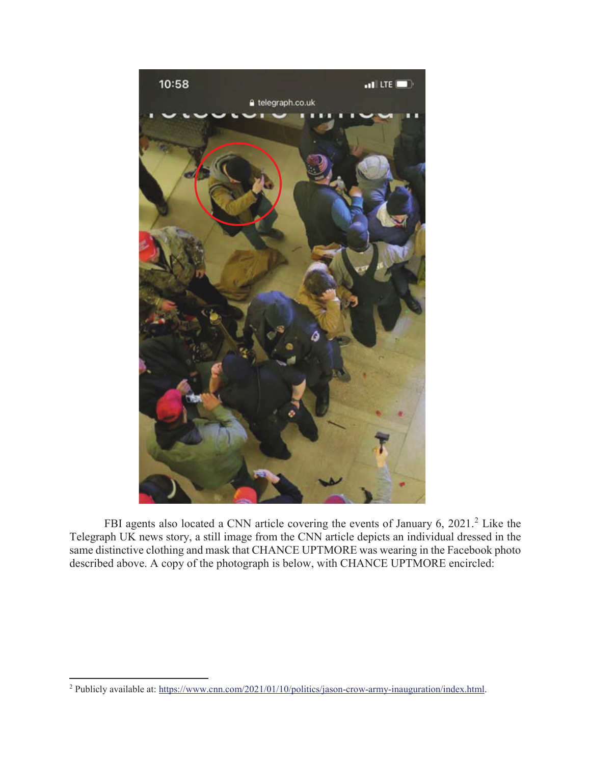

FBI agents also located a CNN article covering the events of January 6, 2021.<sup>2</sup> Like the Telegraph UK news story, a still image from the CNN article depicts an individual dressed in the same distinctive clothing and mask that CHANCE UPTMORE was wearing in the Facebook photo described above. A copy of the photograph is below, with CHANCE UPTMORE encircled:

<sup>&</sup>lt;sup>2</sup> Publicly available at: <https://www.cnn.com/2021/01/10/politics/jason-crow-army-inauguration/index.html>.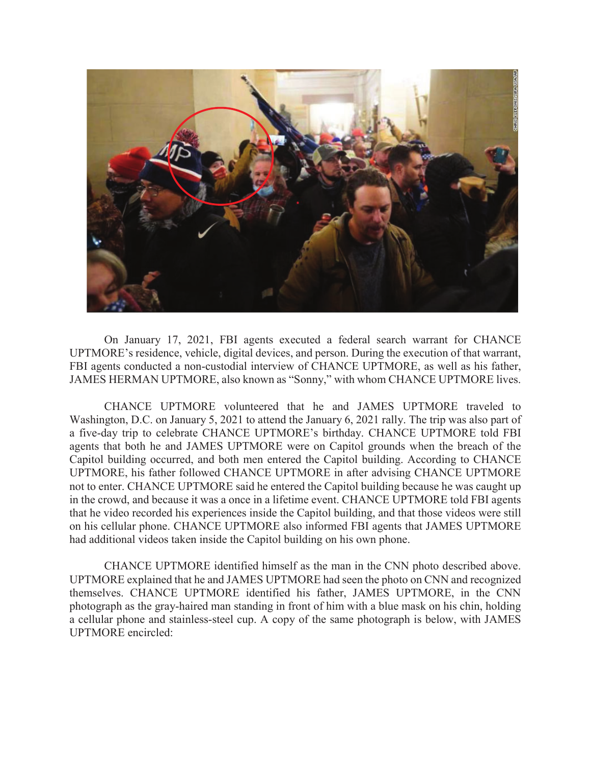

On January 17, 2021, FBI agents executed a federal search warrant for CHANCE UPTMORE's residence, vehicle, digital devices, and person. During the execution of that warrant, FBI agents conducted a non-custodial interview of CHANCE UPTMORE, as well as his father, JAMES HERMAN UPTMORE, also known as "Sonny," with whom CHANCE UPTMORE lives.

CHANCE UPTMORE volunteered that he and JAMES UPTMORE traveled to Washington, D.C. on January 5, 2021 to attend the January 6, 2021 rally. The trip was also part of a five-day trip to celebrate CHANCE UPTMORE's birthday. CHANCE UPTMORE told FBI agents that both he and JAMES UPTMORE were on Capitol grounds when the breach of the Capitol building occurred, and both men entered the Capitol building. According to CHANCE UPTMORE, his father followed CHANCE UPTMORE in after advising CHANCE UPTMORE not to enter. CHANCE UPTMORE said he entered the Capitol building because he was caught up in the crowd, and because it was a once in a lifetime event. CHANCE UPTMORE told FBI agents that he video recorded his experiences inside the Capitol building, and that those videos were still on his cellular phone. CHANCE UPTMORE also informed FBI agents that JAMES UPTMORE had additional videos taken inside the Capitol building on his own phone.

CHANCE UPTMORE identified himself as the man in the CNN photo described above. UPTMORE explained that he and JAMES UPTMORE had seen the photo on CNN and recognized themselves. CHANCE UPTMORE identified his father, JAMES UPTMORE, in the CNN photograph as the gray-haired man standing in front of him with a blue mask on his chin, holding a cellular phone and stainless-steel cup. A copy of the same photograph is below, with JAMES UPTMORE encircled: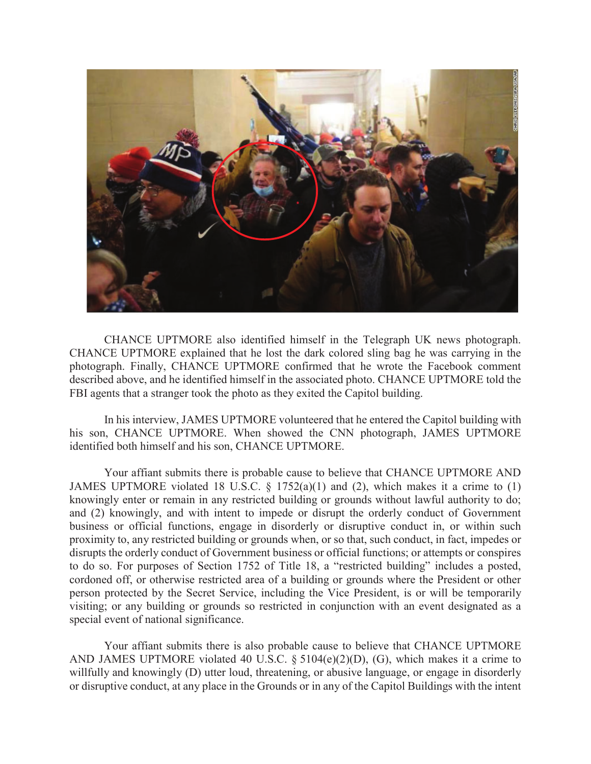

CHANCE UPTMORE also identified himself in the Telegraph UK news photograph. CHANCE UPTMORE explained that he lost the dark colored sling bag he was carrying in the photograph. Finally, CHANCE UPTMORE confirmed that he wrote the Facebook comment described above, and he identified himself in the associated photo. CHANCE UPTMORE told the FBI agents that a stranger took the photo as they exited the Capitol building.

In his interview, JAMES UPTMORE volunteered that he entered the Capitol building with his son, CHANCE UPTMORE. When showed the CNN photograph, JAMES UPTMORE identified both himself and his son, CHANCE UPTMORE.

Your affiant submits there is probable cause to believe that CHANCE UPTMORE AND JAMES UPTMORE violated 18 U.S.C. § 1752(a)(1) and (2), which makes it a crime to (1) knowingly enter or remain in any restricted building or grounds without lawful authority to do; and (2) knowingly, and with intent to impede or disrupt the orderly conduct of Government business or official functions, engage in disorderly or disruptive conduct in, or within such proximity to, any restricted building or grounds when, or so that, such conduct, in fact, impedes or disrupts the orderly conduct of Government business or official functions; or attempts or conspires to do so. For purposes of Section 1752 of Title 18, a "restricted building" includes a posted, cordoned off, or otherwise restricted area of a building or grounds where the President or other person protected by the Secret Service, including the Vice President, is or will be temporarily visiting; or any building or grounds so restricted in conjunction with an event designated as a special event of national significance.

Your affiant submits there is also probable cause to believe that CHANCE UPTMORE AND JAMES UPTMORE violated 40 U.S.C. § 5104(e)(2)(D), (G), which makes it a crime to willfully and knowingly (D) utter loud, threatening, or abusive language, or engage in disorderly or disruptive conduct, at any place in the Grounds or in any of the Capitol Buildings with the intent